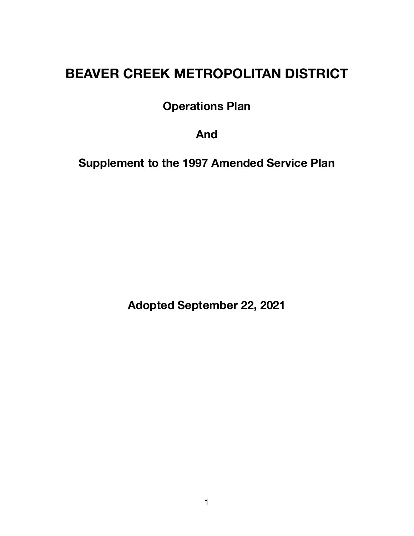# **BEAVER CREEK METROPOLITAN DISTRICT**

**Operations Plan** 

**And** 

**Supplement to the 1997 Amended Service Plan** 

**Adopted September 22, 2021**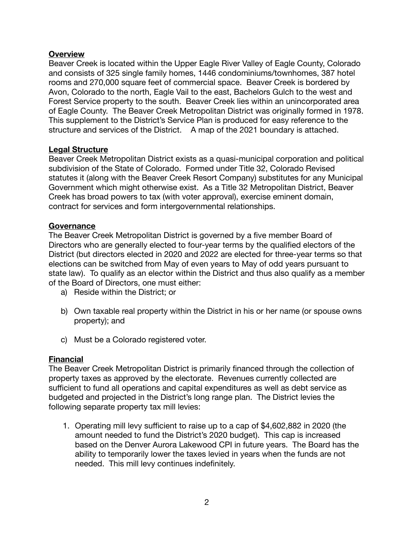#### **Overview**

Beaver Creek is located within the Upper Eagle River Valley of Eagle County, Colorado and consists of 325 single family homes, 1446 condominiums/townhomes, 387 hotel rooms and 270,000 square feet of commercial space. Beaver Creek is bordered by Avon, Colorado to the north, Eagle Vail to the east, Bachelors Gulch to the west and Forest Service property to the south. Beaver Creek lies within an unincorporated area of Eagle County. The Beaver Creek Metropolitan District was originally formed in 1978. This supplement to the District's Service Plan is produced for easy reference to the structure and services of the District. A map of the 2021 boundary is attached.

#### **Legal Structure**

Beaver Creek Metropolitan District exists as a quasi-municipal corporation and political subdivision of the State of Colorado. Formed under Title 32, Colorado Revised statutes it (along with the Beaver Creek Resort Company) substitutes for any Municipal Government which might otherwise exist. As a Title 32 Metropolitan District, Beaver Creek has broad powers to tax (with voter approval), exercise eminent domain, contract for services and form intergovernmental relationships.

#### **Governance**

The Beaver Creek Metropolitan District is governed by a five member Board of Directors who are generally elected to four-year terms by the qualified electors of the District (but directors elected in 2020 and 2022 are elected for three-year terms so that elections can be switched from May of even years to May of odd years pursuant to state law). To qualify as an elector within the District and thus also qualify as a member of the Board of Directors, one must either:

- a) Reside within the District; or
- b) Own taxable real property within the District in his or her name (or spouse owns property); and
- c) Must be a Colorado registered voter.

## **Financial**

The Beaver Creek Metropolitan District is primarily financed through the collection of property taxes as approved by the electorate. Revenues currently collected are sufficient to fund all operations and capital expenditures as well as debt service as budgeted and projected in the District's long range plan. The District levies the following separate property tax mill levies:

1. Operating mill levy sufficient to raise up to a cap of \$4,602,882 in 2020 (the amount needed to fund the District's 2020 budget). This cap is increased based on the Denver Aurora Lakewood CPI in future years. The Board has the ability to temporarily lower the taxes levied in years when the funds are not needed. This mill levy continues indefinitely.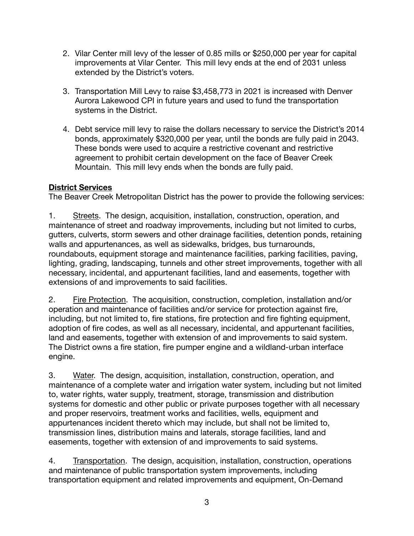- 2. Vilar Center mill levy of the lesser of 0.85 mills or \$250,000 per year for capital improvements at Vilar Center. This mill levy ends at the end of 2031 unless extended by the District's voters.
- 3. Transportation Mill Levy to raise \$3,458,773 in 2021 is increased with Denver Aurora Lakewood CPI in future years and used to fund the transportation systems in the District.
- 4. Debt service mill levy to raise the dollars necessary to service the District's 2014 bonds, approximately \$320,000 per year, until the bonds are fully paid in 2043. These bonds were used to acquire a restrictive covenant and restrictive agreement to prohibit certain development on the face of Beaver Creek Mountain. This mill levy ends when the bonds are fully paid.

# **District Services**

The Beaver Creek Metropolitan District has the power to provide the following services:

1. Streets. The design, acquisition, installation, construction, operation, and maintenance of street and roadway improvements, including but not limited to curbs, gutters, culverts, storm sewers and other drainage facilities, detention ponds, retaining walls and appurtenances, as well as sidewalks, bridges, bus turnarounds, roundabouts, equipment storage and maintenance facilities, parking facilities, paving, lighting, grading, landscaping, tunnels and other street improvements, together with all necessary, incidental, and appurtenant facilities, land and easements, together with extensions of and improvements to said facilities.

2. Fire Protection. The acquisition, construction, completion, installation and/or operation and maintenance of facilities and/or service for protection against fire, including, but not limited to, fire stations, fire protection and fire fighting equipment, adoption of fire codes, as well as all necessary, incidental, and appurtenant facilities, land and easements, together with extension of and improvements to said system. The District owns a fire station, fire pumper engine and a wildland-urban interface engine.

3. Water. The design, acquisition, installation, construction, operation, and maintenance of a complete water and irrigation water system, including but not limited to, water rights, water supply, treatment, storage, transmission and distribution systems for domestic and other public or private purposes together with all necessary and proper reservoirs, treatment works and facilities, wells, equipment and appurtenances incident thereto which may include, but shall not be limited to, transmission lines, distribution mains and laterals, storage facilities, land and easements, together with extension of and improvements to said systems.

4. Transportation. The design, acquisition, installation, construction, operations and maintenance of public transportation system improvements, including transportation equipment and related improvements and equipment, On-Demand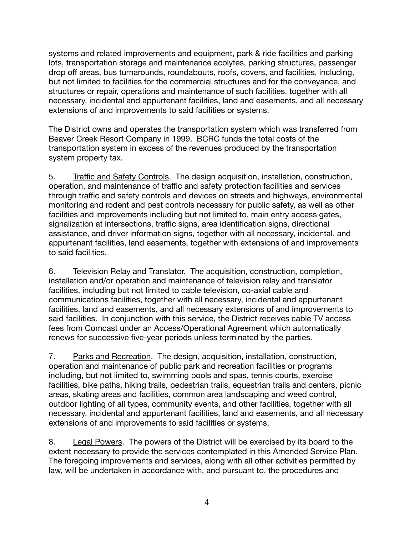systems and related improvements and equipment, park & ride facilities and parking lots, transportation storage and maintenance acolytes, parking structures, passenger drop off areas, bus turnarounds, roundabouts, roofs, covers, and facilities, including, but not limited to facilities for the commercial structures and for the conveyance, and structures or repair, operations and maintenance of such facilities, together with all necessary, incidental and appurtenant facilities, land and easements, and all necessary extensions of and improvements to said facilities or systems.

The District owns and operates the transportation system which was transferred from Beaver Creek Resort Company in 1999. BCRC funds the total costs of the transportation system in excess of the revenues produced by the transportation system property tax.

5. Traffic and Safety Controls. The design acquisition, installation, construction, operation, and maintenance of traffic and safety protection facilities and services through traffic and safety controls and devices on streets and highways, environmental monitoring and rodent and pest controls necessary for public safety, as well as other facilities and improvements including but not limited to, main entry access gates, signalization at intersections, traffic signs, area identification signs, directional assistance, and driver information signs, together with all necessary, incidental, and appurtenant facilities, land easements, together with extensions of and improvements to said facilities.

6. Television Relay and Translator. The acquisition, construction, completion, installation and/or operation and maintenance of television relay and translator facilities, including but not limited to cable television, co-axial cable and communications facilities, together with all necessary, incidental and appurtenant facilities, land and easements, and all necessary extensions of and improvements to said facilities. In conjunction with this service, the District receives cable TV access fees from Comcast under an Access/Operational Agreement which automatically renews for successive five-year periods unless terminated by the parties.

7. Parks and Recreation. The design, acquisition, installation, construction, operation and maintenance of public park and recreation facilities or programs including, but not limited to, swimming pools and spas, tennis courts, exercise facilities, bike paths, hiking trails, pedestrian trails, equestrian trails and centers, picnic areas, skating areas and facilities, common area landscaping and weed control, outdoor lighting of all types, community events, and other facilities, together with all necessary, incidental and appurtenant facilities, land and easements, and all necessary extensions of and improvements to said facilities or systems.

8. Legal Powers. The powers of the District will be exercised by its board to the extent necessary to provide the services contemplated in this Amended Service Plan. The foregoing improvements and services, along with all other activities permitted by law, will be undertaken in accordance with, and pursuant to, the procedures and